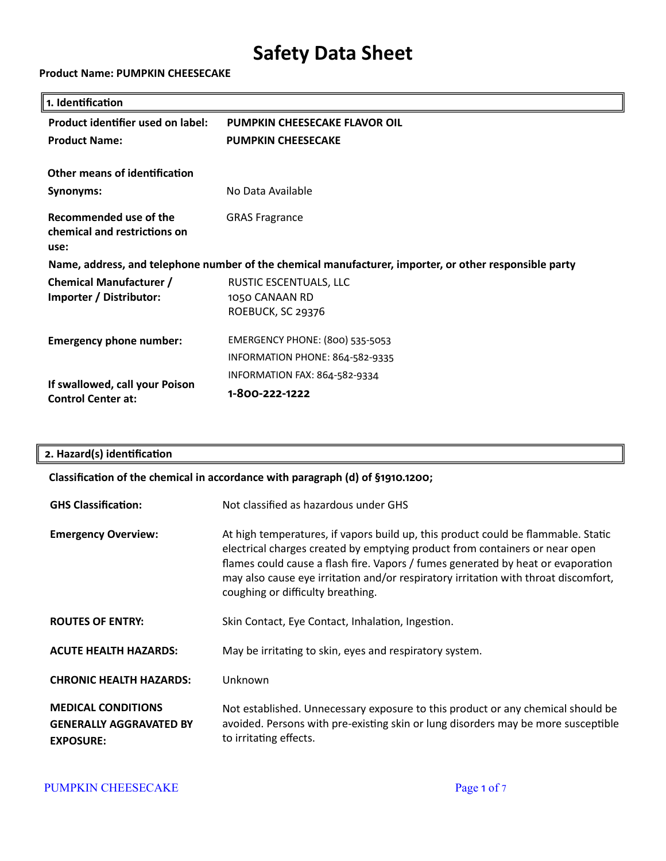#### **Product Name: PUMPKIN CHEESECAKE**

| 1. Identification                                                                                      |                                                                    |  |
|--------------------------------------------------------------------------------------------------------|--------------------------------------------------------------------|--|
| Product identifier used on label:                                                                      | <b>PUMPKIN CHEESECAKE FLAVOR OIL</b>                               |  |
| <b>Product Name:</b>                                                                                   | <b>PUMPKIN CHEESECAKE</b>                                          |  |
| Other means of identification                                                                          |                                                                    |  |
| Synonyms:                                                                                              | No Data Available                                                  |  |
| Recommended use of the<br>chemical and restrictions on<br>use:                                         | <b>GRAS Fragrance</b>                                              |  |
| Name, address, and telephone number of the chemical manufacturer, importer, or other responsible party |                                                                    |  |
| <b>Chemical Manufacturer /</b><br>Importer / Distributor:                                              | RUSTIC ESCENTUALS, LLC<br>1050 CANAAN RD<br>ROEBUCK, SC 29376      |  |
| <b>Emergency phone number:</b>                                                                         | EMERGENCY PHONE: (800) 535-5053<br>INFORMATION PHONE: 864-582-9335 |  |
| If swallowed, call your Poison<br><b>Control Center at:</b>                                            | INFORMATION FAX: 864-582-9334<br>1-800-222-1222                    |  |

## **2. Hazard(s) identification**

## **Classification of the chemical in accordance with paragraph (d) of §1910.1200;**

| <b>GHS Classification:</b>                                                      | Not classified as hazardous under GHS                                                                                                                                                                                                                                                                                                                                            |
|---------------------------------------------------------------------------------|----------------------------------------------------------------------------------------------------------------------------------------------------------------------------------------------------------------------------------------------------------------------------------------------------------------------------------------------------------------------------------|
| <b>Emergency Overview:</b>                                                      | At high temperatures, if vapors build up, this product could be flammable. Static<br>electrical charges created by emptying product from containers or near open<br>flames could cause a flash fire. Vapors / fumes generated by heat or evaporation<br>may also cause eye irritation and/or respiratory irritation with throat discomfort,<br>coughing or difficulty breathing. |
| <b>ROUTES OF ENTRY:</b>                                                         | Skin Contact, Eye Contact, Inhalation, Ingestion.                                                                                                                                                                                                                                                                                                                                |
| <b>ACUTE HEALTH HAZARDS:</b>                                                    | May be irritating to skin, eyes and respiratory system.                                                                                                                                                                                                                                                                                                                          |
| <b>CHRONIC HEALTH HAZARDS:</b>                                                  | Unknown                                                                                                                                                                                                                                                                                                                                                                          |
| <b>MEDICAL CONDITIONS</b><br><b>GENERALLY AGGRAVATED BY</b><br><b>EXPOSURE:</b> | Not established. Unnecessary exposure to this product or any chemical should be<br>avoided. Persons with pre-existing skin or lung disorders may be more susceptible<br>to irritating effects.                                                                                                                                                                                   |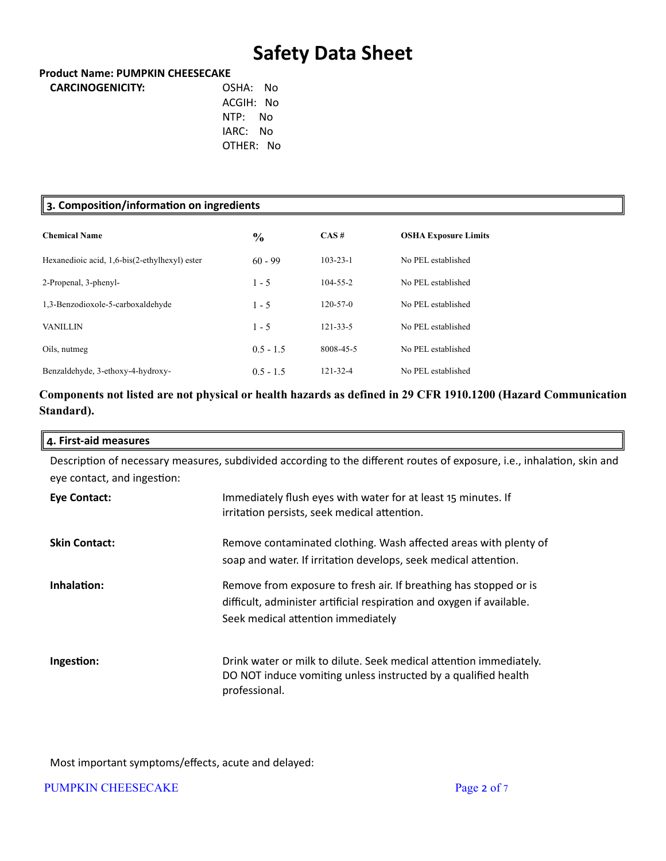#### **Product Name: PUMPKIN CHEESECAKE**

| <b>CARCINOGENICITY:</b> | OSHA: No  |  |
|-------------------------|-----------|--|
|                         | ACGIH: No |  |
|                         | NTP: No   |  |
|                         | IARC: No  |  |
|                         | OTHER: No |  |
|                         |           |  |

| 3. Composition/information on ingredients     |               |                |                             |  |
|-----------------------------------------------|---------------|----------------|-----------------------------|--|
| <b>Chemical Name</b>                          | $\frac{0}{0}$ | CAS#           | <b>OSHA Exposure Limits</b> |  |
| Hexanedioic acid, 1,6-bis(2-ethylhexyl) ester | $60 - 99$     | $103 - 23 - 1$ | No PEL established          |  |
| 2-Propenal, 3-phenyl-                         | $1 - 5$       | $104 - 55 - 2$ | No PEL established          |  |
| 1,3-Benzodioxole-5-carboxaldehyde             | $1 - 5$       | $120 - 57 - 0$ | No PEL established          |  |
| <b>VANILLIN</b>                               | $1 - 5$       | $121 - 33 - 5$ | No PEL established          |  |
| Oils, nutmeg                                  | $0.5 - 1.5$   | 8008-45-5      | No PEL established          |  |
| Benzaldehyde, 3-ethoxy-4-hydroxy-             | $0.5 - 1.5$   | 121-32-4       | No PEL established          |  |

## **Components not listed are not physical or health hazards as defined in 29 CFR 1910.1200 (Hazard Communication Standard).**

| 4. First-aid measures       |                                                                                                                                                       |
|-----------------------------|-------------------------------------------------------------------------------------------------------------------------------------------------------|
|                             | Description of necessary measures, subdivided according to the different routes of exposure, i.e., inhalation, skin and                               |
| eye contact, and ingestion: |                                                                                                                                                       |
| Eye Contact:                | Immediately flush eyes with water for at least 15 minutes. If                                                                                         |
|                             | irritation persists, seek medical attention.                                                                                                          |
| <b>Skin Contact:</b>        | Remove contaminated clothing. Wash affected areas with plenty of                                                                                      |
|                             | soap and water. If irritation develops, seek medical attention.                                                                                       |
| Inhalation:                 | Remove from exposure to fresh air. If breathing has stopped or is                                                                                     |
|                             | difficult, administer artificial respiration and oxygen if available.                                                                                 |
|                             | Seek medical attention immediately                                                                                                                    |
| Ingestion:                  | Drink water or milk to dilute. Seek medical attention immediately.<br>DO NOT induce vomiting unless instructed by a qualified health<br>professional. |

Most important symptoms/effects, acute and delayed:

PUMPKIN CHEESECAKE Page 2 of 7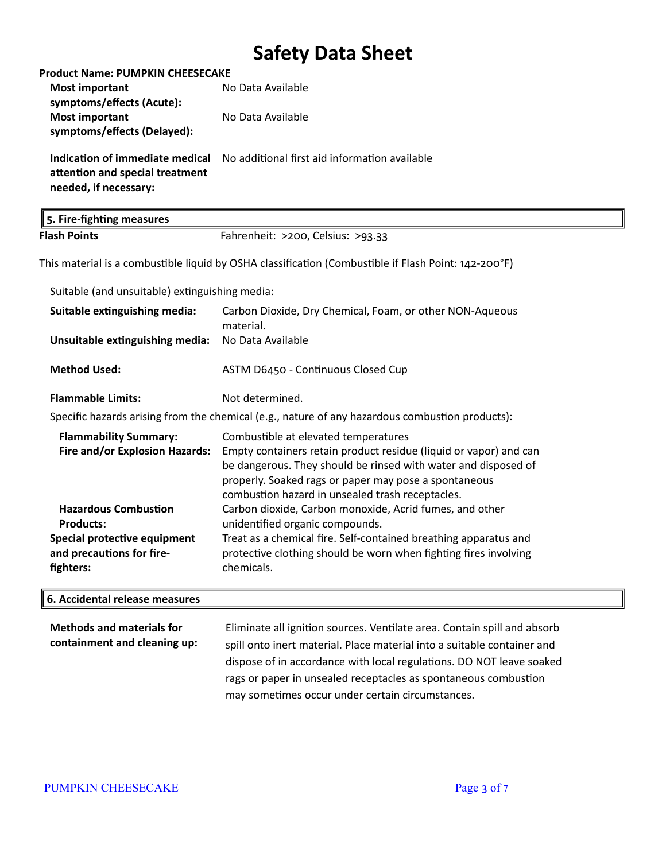| <b>Product Name: PUMPKIN CHEESECAKE</b>                                                         |                                                                                                                                      |
|-------------------------------------------------------------------------------------------------|--------------------------------------------------------------------------------------------------------------------------------------|
| <b>Most important</b>                                                                           | No Data Available                                                                                                                    |
| symptoms/effects (Acute):                                                                       |                                                                                                                                      |
| <b>Most important</b>                                                                           | No Data Available                                                                                                                    |
| symptoms/effects (Delayed):                                                                     |                                                                                                                                      |
| Indication of immediate medical                                                                 | No additional first aid information available                                                                                        |
| attention and special treatment                                                                 |                                                                                                                                      |
| needed, if necessary:                                                                           |                                                                                                                                      |
| 5. Fire-fighting measures                                                                       |                                                                                                                                      |
| <b>Flash Points</b>                                                                             | Fahrenheit: >200, Celsius: >93.33                                                                                                    |
|                                                                                                 | This material is a combustible liquid by OSHA classification (Combustible if Flash Point: 142-200°F)                                 |
| Suitable (and unsuitable) extinguishing media:                                                  |                                                                                                                                      |
| Suitable extinguishing media:                                                                   | Carbon Dioxide, Dry Chemical, Foam, or other NON-Aqueous<br>material.                                                                |
| Unsuitable extinguishing media:                                                                 | No Data Available                                                                                                                    |
| <b>Method Used:</b>                                                                             | ASTM D6450 - Continuous Closed Cup                                                                                                   |
| <b>Flammable Limits:</b>                                                                        | Not determined.                                                                                                                      |
| Specific hazards arising from the chemical (e.g., nature of any hazardous combustion products): |                                                                                                                                      |
| <b>Flammability Summary:</b>                                                                    | Combustible at elevated temperatures                                                                                                 |
| Fire and/or Explosion Hazards:                                                                  | Empty containers retain product residue (liquid or vapor) and can                                                                    |
|                                                                                                 | be dangerous. They should be rinsed with water and disposed of                                                                       |
|                                                                                                 | properly. Soaked rags or paper may pose a spontaneous                                                                                |
|                                                                                                 | combustion hazard in unsealed trash receptacles.                                                                                     |
| <b>Hazardous Combustion</b>                                                                     | Carbon dioxide, Carbon monoxide, Acrid fumes, and other                                                                              |
| <b>Products:</b>                                                                                | unidentified organic compounds.                                                                                                      |
| Special protective equipment<br>and precautions for fire-                                       | Treat as a chemical fire. Self-contained breathing apparatus and<br>protective clothing should be worn when fighting fires involving |
| fighters:                                                                                       | chemicals.                                                                                                                           |
|                                                                                                 |                                                                                                                                      |
| 6. Accidental release measures                                                                  |                                                                                                                                      |
|                                                                                                 |                                                                                                                                      |

**Methods and materials for containment and cleaning up:** Eliminate all ignition sources. Ventilate area. Contain spill and absorb spill onto inert material. Place material into a suitable container and dispose of in accordance with local regulations. DO NOT leave soaked rags or paper in unsealed receptacles as spontaneous combustion may sometimes occur under certain circumstances.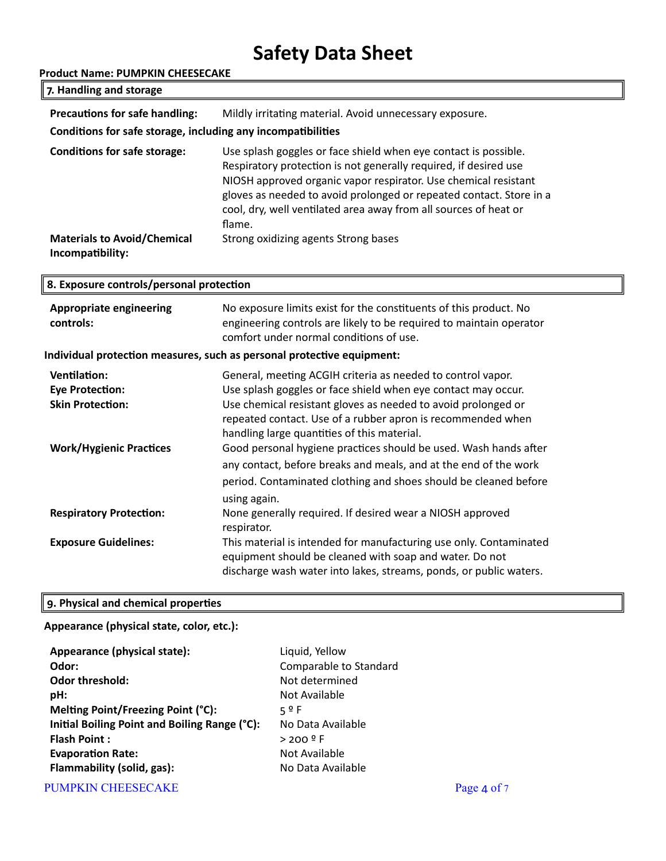| <b>Product Name: PUMPKIN CHEESECAKE</b>                      |                                                                                                                                                                                                                                                                                                                                                             |  |
|--------------------------------------------------------------|-------------------------------------------------------------------------------------------------------------------------------------------------------------------------------------------------------------------------------------------------------------------------------------------------------------------------------------------------------------|--|
| 7. Handling and storage                                      |                                                                                                                                                                                                                                                                                                                                                             |  |
| Precautions for safe handling:                               | Mildly irritating material. Avoid unnecessary exposure.                                                                                                                                                                                                                                                                                                     |  |
| Conditions for safe storage, including any incompatibilities |                                                                                                                                                                                                                                                                                                                                                             |  |
| <b>Conditions for safe storage:</b>                          | Use splash goggles or face shield when eye contact is possible.<br>Respiratory protection is not generally required, if desired use<br>NIOSH approved organic vapor respirator. Use chemical resistant<br>gloves as needed to avoid prolonged or repeated contact. Store in a<br>cool, dry, well ventilated area away from all sources of heat or<br>flame. |  |
| <b>Materials to Avoid/Chemical</b><br>Incompatibility:       | Strong oxidizing agents Strong bases                                                                                                                                                                                                                                                                                                                        |  |
| 8. Exposure controls/personal protection                     |                                                                                                                                                                                                                                                                                                                                                             |  |
| <b>Appropriate engineering</b><br>controls:                  | No exposure limits exist for the constituents of this product. No<br>engineering controls are likely to be required to maintain operator<br>comfort under normal conditions of use.                                                                                                                                                                         |  |
|                                                              | Individual protection measures, such as personal protective equipment:                                                                                                                                                                                                                                                                                      |  |
| <b>Ventilation:</b>                                          | General, meeting ACGIH criteria as needed to control vapor.<br>n na acadh an Leasan an Leasan an Casa an Lotata Liberatus anns an caomh an Leasan                                                                                                                                                                                                           |  |

| ventilation:                   | General, meeting ACGIH criteria as needed to control vapor.                                                                                                                                         |
|--------------------------------|-----------------------------------------------------------------------------------------------------------------------------------------------------------------------------------------------------|
| <b>Eye Protection:</b>         | Use splash goggles or face shield when eye contact may occur.                                                                                                                                       |
| <b>Skin Protection:</b>        | Use chemical resistant gloves as needed to avoid prolonged or<br>repeated contact. Use of a rubber apron is recommended when<br>handling large quantities of this material.                         |
| <b>Work/Hygienic Practices</b> | Good personal hygiene practices should be used. Wash hands after                                                                                                                                    |
|                                | any contact, before breaks and meals, and at the end of the work                                                                                                                                    |
|                                | period. Contaminated clothing and shoes should be cleaned before<br>using again.                                                                                                                    |
| <b>Respiratory Protection:</b> | None generally required. If desired wear a NIOSH approved<br>respirator.                                                                                                                            |
| <b>Exposure Guidelines:</b>    | This material is intended for manufacturing use only. Contaminated<br>equipment should be cleaned with soap and water. Do not<br>discharge wash water into lakes, streams, ponds, or public waters. |

## **9. Physical and chemical properties**

## **Appearance (physical state, color, etc.):**

| Appearance (physical state):                  | Liquid, Yellow         |
|-----------------------------------------------|------------------------|
| Odor:                                         | Comparable to Standard |
| <b>Odor threshold:</b>                        | Not determined         |
| pH:                                           | Not Available          |
| Melting Point/Freezing Point (°C):            | 59F                    |
| Initial Boiling Point and Boiling Range (°C): | No Data Available      |
| <b>Flash Point:</b>                           | $> 200$ º F            |
| <b>Evaporation Rate:</b>                      | Not Available          |
| Flammability (solid, gas):                    | No Data Available      |
|                                               |                        |

PUMPKIN CHEESECAKE Page 4 of 7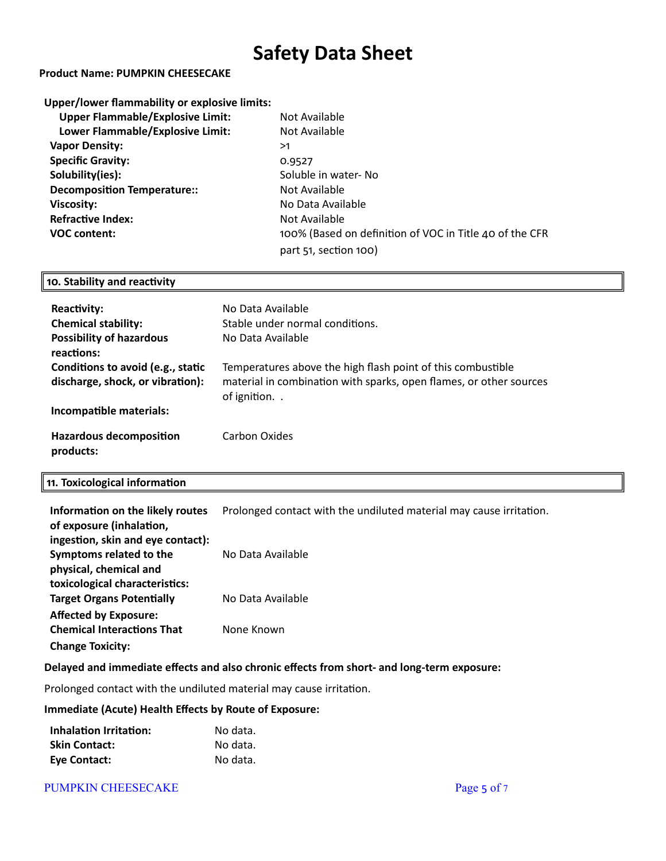#### **Product Name: PUMPKIN CHEESECAKE**

| Upper/lower flammability or explosive limits: |                                                         |
|-----------------------------------------------|---------------------------------------------------------|
| <b>Upper Flammable/Explosive Limit:</b>       | Not Available                                           |
| Lower Flammable/Explosive Limit:              | Not Available                                           |
| <b>Vapor Density:</b>                         | >1                                                      |
| <b>Specific Gravity:</b>                      | 0.9527                                                  |
| Solubility(ies):                              | Soluble in water-No                                     |
| <b>Decomposition Temperature::</b>            | Not Available                                           |
| Viscosity:                                    | No Data Available                                       |
| <b>Refractive Index:</b>                      | Not Available                                           |
| <b>VOC content:</b>                           | 100% (Based on definition of VOC in Title 40 of the CFR |
|                                               | part $51$ , section $100$ )                             |

#### **10. Stability and reactivity**

| Reactivity:<br><b>Chemical stability:</b><br><b>Possibility of hazardous</b><br>reactions: | No Data Available<br>Stable under normal conditions.<br>No Data Available                                                                        |
|--------------------------------------------------------------------------------------------|--------------------------------------------------------------------------------------------------------------------------------------------------|
| Conditions to avoid (e.g., static<br>discharge, shock, or vibration):                      | Temperatures above the high flash point of this combustible<br>material in combination with sparks, open flames, or other sources<br>of ignition |
| Incompatible materials:                                                                    |                                                                                                                                                  |
| <b>Hazardous decomposition</b><br>products:                                                | Carbon Oxides                                                                                                                                    |

#### **11. Toxicological information**

| Information on the likely routes<br>of exposure (inhalation, | Prolonged contact with the undiluted material may cause irritation. |
|--------------------------------------------------------------|---------------------------------------------------------------------|
| ingestion, skin and eye contact):                            |                                                                     |
| Symptoms related to the                                      | No Data Available                                                   |
| physical, chemical and                                       |                                                                     |
| toxicological characteristics:                               |                                                                     |
| <b>Target Organs Potentially</b>                             | No Data Available                                                   |
| <b>Affected by Exposure:</b>                                 |                                                                     |
| <b>Chemical Interactions That</b>                            | None Known                                                          |
| <b>Change Toxicity:</b>                                      |                                                                     |

## **Delayed and immediate effects and also chronic effects from short- and long-term exposure:**

Prolonged contact with the undiluted material may cause irritation.

#### **Immediate (Acute) Health Effects by Route of Exposure:**

| Inhalation Irritation: | No data. |
|------------------------|----------|
| <b>Skin Contact:</b>   | No data. |
| Eye Contact:           | No data. |

#### PUMPKIN CHEESECAKE Page 5 of 7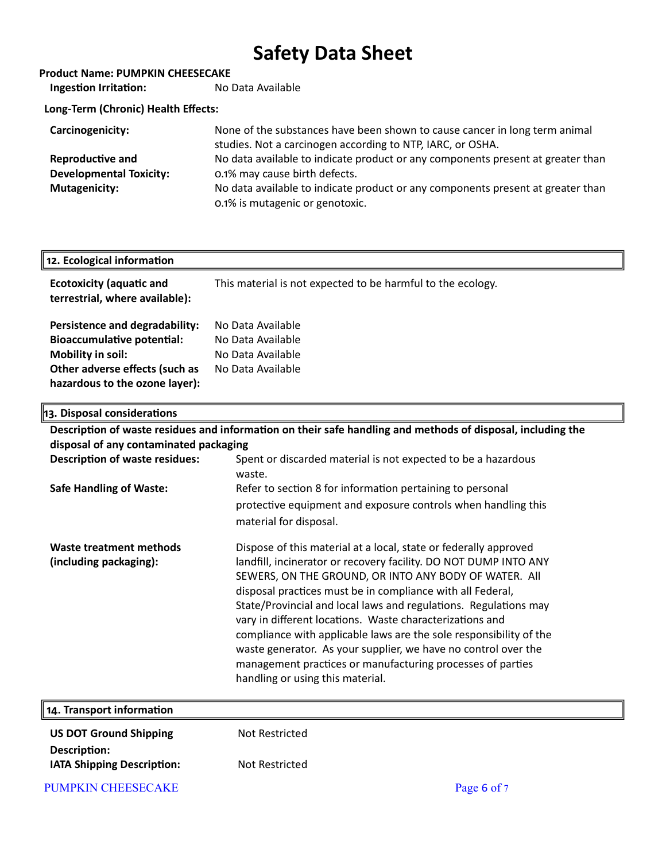| <b>Product Name: PUMPKIN CHEESECAKE</b> |                                                                                                                                          |
|-----------------------------------------|------------------------------------------------------------------------------------------------------------------------------------------|
| <b>Ingestion Irritation:</b>            | No Data Available                                                                                                                        |
| Long-Term (Chronic) Health Effects:     |                                                                                                                                          |
| Carcinogenicity:                        | None of the substances have been shown to cause cancer in long term animal<br>studies. Not a carcinogen according to NTP, IARC, or OSHA. |
| Reproductive and                        | No data available to indicate product or any components present at greater than                                                          |
| <b>Developmental Toxicity:</b>          | 0.1% may cause birth defects.                                                                                                            |
| <b>Mutagenicity:</b>                    | No data available to indicate product or any components present at greater than<br>0.1% is mutagenic or genotoxic.                       |

| 12. Ecological information                                                                                                                                   |                                                                                  |
|--------------------------------------------------------------------------------------------------------------------------------------------------------------|----------------------------------------------------------------------------------|
| <b>Ecotoxicity (aquatic and</b><br>terrestrial, where available):                                                                                            | This material is not expected to be harmful to the ecology.                      |
| Persistence and degradability:<br><b>Bioaccumulative potential:</b><br>Mobility in soil:<br>Other adverse effects (such as<br>hazardous to the ozone layer): | No Data Available<br>No Data Available<br>No Data Available<br>No Data Available |

| 13. Disposal considerations                       |                                                                                                                                                                                                                                                                                                                                                                                                                                                                                                                                                                                                                                       |
|---------------------------------------------------|---------------------------------------------------------------------------------------------------------------------------------------------------------------------------------------------------------------------------------------------------------------------------------------------------------------------------------------------------------------------------------------------------------------------------------------------------------------------------------------------------------------------------------------------------------------------------------------------------------------------------------------|
|                                                   | Description of waste residues and information on their safe handling and methods of disposal, including the                                                                                                                                                                                                                                                                                                                                                                                                                                                                                                                           |
| disposal of any contaminated packaging            |                                                                                                                                                                                                                                                                                                                                                                                                                                                                                                                                                                                                                                       |
| <b>Description of waste residues:</b>             | Spent or discarded material is not expected to be a hazardous<br>waste.                                                                                                                                                                                                                                                                                                                                                                                                                                                                                                                                                               |
| <b>Safe Handling of Waste:</b>                    | Refer to section 8 for information pertaining to personal                                                                                                                                                                                                                                                                                                                                                                                                                                                                                                                                                                             |
|                                                   | protective equipment and exposure controls when handling this<br>material for disposal.                                                                                                                                                                                                                                                                                                                                                                                                                                                                                                                                               |
| Waste treatment methods<br>(including packaging): | Dispose of this material at a local, state or federally approved<br>landfill, incinerator or recovery facility. DO NOT DUMP INTO ANY<br>SEWERS, ON THE GROUND, OR INTO ANY BODY OF WATER. All<br>disposal practices must be in compliance with all Federal,<br>State/Provincial and local laws and regulations. Regulations may<br>vary in different locations. Waste characterizations and<br>compliance with applicable laws are the sole responsibility of the<br>waste generator. As your supplier, we have no control over the<br>management practices or manufacturing processes of parties<br>handling or using this material. |
| 14. Transport information                         |                                                                                                                                                                                                                                                                                                                                                                                                                                                                                                                                                                                                                                       |

| <b>US DOT Ground Shipping</b>     | Not Restricted |
|-----------------------------------|----------------|
| Description:                      |                |
| <b>IATA Shipping Description:</b> | Not Restricted |

PUMPKIN CHEESECAKE Page 6 of 7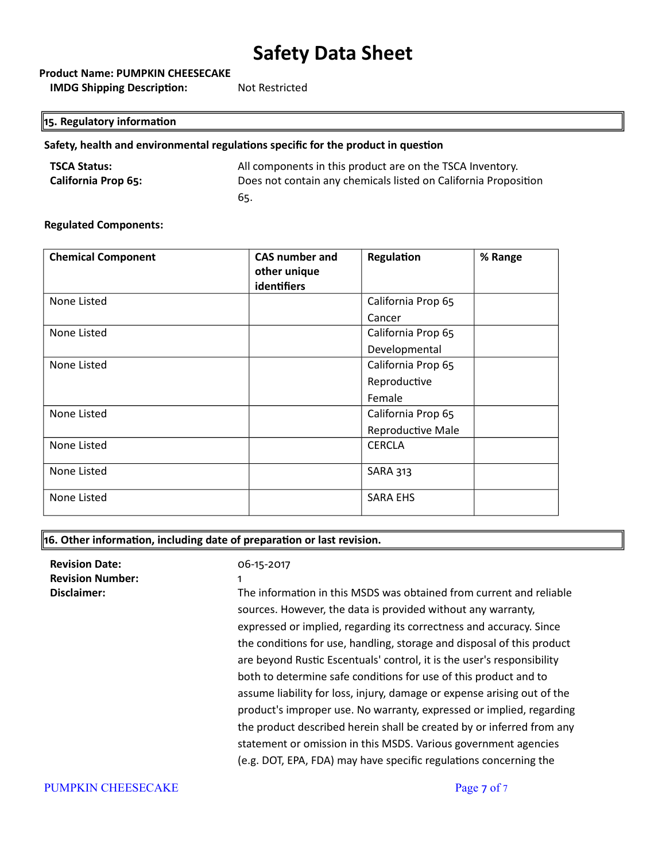**Product Name: PUMPKIN CHEESECAKE**

**IMDG Shipping Description:** Not Restricted

## **15. Regulatory information**

## **Safety, health and environmental regulations specific for the product in question**

| <b>TSCA Status:</b>        | All components in this product are on the TSCA Inventory.       |
|----------------------------|-----------------------------------------------------------------|
| <b>California Prop 65:</b> | Does not contain any chemicals listed on California Proposition |
|                            | 65.                                                             |

#### **Regulated Components:**

| <b>Chemical Component</b> | <b>CAS number and</b><br>other unique<br>identifiers | Regulation         | % Range |
|---------------------------|------------------------------------------------------|--------------------|---------|
| None Listed               |                                                      | California Prop 65 |         |
|                           |                                                      | Cancer             |         |
| None Listed               |                                                      | California Prop 65 |         |
|                           |                                                      | Developmental      |         |
| None Listed               |                                                      | California Prop 65 |         |
|                           |                                                      | Reproductive       |         |
|                           |                                                      | Female             |         |
| None Listed               |                                                      | California Prop 65 |         |
|                           |                                                      | Reproductive Male  |         |
| None Listed               |                                                      | <b>CERCLA</b>      |         |
| None Listed               |                                                      | <b>SARA 313</b>    |         |
| None Listed               |                                                      | <b>SARA EHS</b>    |         |

#### **16. Other information, including date of preparation or last revision.**

| <b>Revision Date:</b><br><b>Revision Number:</b><br>Disclaimer: | 06-15-2017<br>$\mathbf{1}$<br>The information in this MSDS was obtained from current and reliable<br>sources. However, the data is provided without any warranty,<br>expressed or implied, regarding its correctness and accuracy. Since<br>the conditions for use, handling, storage and disposal of this product<br>are beyond Rustic Escentuals' control, it is the user's responsibility<br>both to determine safe conditions for use of this product and to<br>assume liability for loss, injury, damage or expense arising out of the<br>product's improper use. No warranty, expressed or implied, regarding<br>the product described herein shall be created by or inferred from any<br>statement or omission in this MSDS. Various government agencies<br>(e.g. DOT, EPA, FDA) may have specific regulations concerning the |
|-----------------------------------------------------------------|--------------------------------------------------------------------------------------------------------------------------------------------------------------------------------------------------------------------------------------------------------------------------------------------------------------------------------------------------------------------------------------------------------------------------------------------------------------------------------------------------------------------------------------------------------------------------------------------------------------------------------------------------------------------------------------------------------------------------------------------------------------------------------------------------------------------------------------|
|                                                                 |                                                                                                                                                                                                                                                                                                                                                                                                                                                                                                                                                                                                                                                                                                                                                                                                                                      |

#### PUMPKIN CHEESECAKE Page 7 of 7